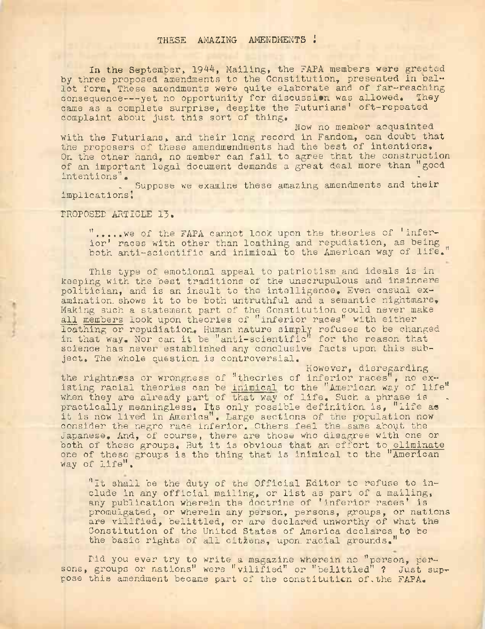## THESE AMAZING AMENDMENTS !

In the September, 1944, Mailing, the FAPA members were greeted by three proposed amendments to the Constitution, presented in ballot form. These amendments were quite elaborate and of far-reaching consequence---yet no opportunity for discussion was allowed. They came as a complete surprise, despite the Futurians' oft-repeated complaint about just this sort of thing.

Now no member acquainted with the Futurians, and their long record in Fandom., can doubt that the proposers of these amendmendments had the best of intentions. On the other hand, no member can fail to agree that the construction of an important legal document demands a great deal more than "good intentions", -

Suppose we examine these amazing amendments and their implications!

PROPOSED ARTICLE 13.

".... we of the FAPA cannot look upon the theories of 'inferior' races with other than loathing and repudiation, as being both anti-scientific and inimical to the American way of life.

This type of emotional appeal to patriotism and ideals is in keeping with the best traditions of the unscrupulous and insincere politician, and is an insult to the intelligence. Even casual examination shows it to be both untruthful and a semantic nightmare. Making such a statement part of the Constitution could never make all members look upon theories of "inferior races" with either loathing or repudiation. Human nature simply refuses to be changed in that way. Nor can it be "anti-scientific" for the reason that science has never established any conclusive facts upon this subject. The whole question, is controversial.

However, disregarding the rightness or wrongness of "theories of inferior races", no  $ex$ . isting racial theories can be inimical to the "American way of life" when they are already part of that way of life. Such a phrase is practically meaningless. Its only possible definition is, "life as it is now lived in America", Large sections of the population now consider the negro race inferior. Others feel the same about the Japanese, And, of course, there are those who disagree with one or both of these groups. But it is obvious that an effort to eliminate one of these groups is the thing that is inimical to the "American way of life".

"it shall be the duty of the Official Editor to refuse to include in any official mailing, or list as part of a mailing, any publication wherein the doctrine of 'inferior races' is promulgated, or wherein any person, persons, groups, or nations are vilified, belittled, or are declared unworthy of what the Constitution of the United States of America declares to be the basic rights of all citzens, upon racial grounds."

Did you ever try to write a magazine wherein no "person, persons, groups or nations" were "vilified" or "belittled" ? Just suppose this amendment became part of the constitution of,the FARA.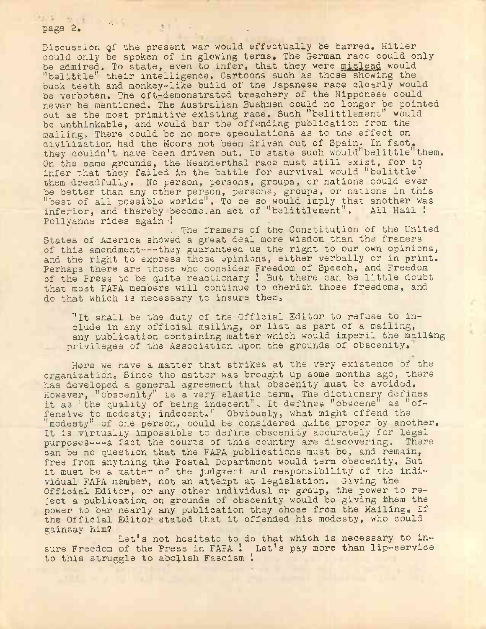page 2. " ' . .

Discussion of the present war would effectually be barred. Hitler could only be spoken of in glowing terms. The German race could only be admired. To state, even to infer, that they were mislead would "belittle" their intelligence. Cartoons such as those showing the buck teeth and monkey-like build of the Japanese race clearly would be verboten. The oft-demonstrated treachery of the Nipponese could never be mentioned. The Australian Bushmen could no longer be pointed out as the most primitive existing race. Such "belittlement" would be unthinkable, and would bar the offending publication from the mailing. There could be no more speculations as to the effect on civilization had the Moors not been driven out of Spain. In fact, they couldn't have been driven out. To state such would"belittle" them. On the same grounds, the Neanderthal race must still exist, for to infer that they failed in the battle for survival would ''belittle" them dreadfully. No person, persons, groups, or nations could ever be better than any other person, persons, groups, or nations in this "best of all possible worlds", To be so would imply that another was inferior, and thereby become.an act of "belittlement". All Hail ! Pollyanna rides again !

. The framers of the Constitution of the United States of America showed a great deal more wisdom than the framers of this amendment---they guaranteed us the right to our own opinions, and the right to express those opinions, either verbally or in print. Perhaps there are those who consider Freedom of Speech, and Freedom of the Press to be quite reactionary ! But there can be little doubt that most FAPA members will continue to cherish those freedoms, and do that which is necessary to insure them,

"It shall be the duty of the Official Editor to refuse to include in any official mailing, or list as part of a mailing, any publication containing matter which would imperil the mailing privileges of the Association upon the grounds of obscenity."

Here we have a matter that strikes at the very existence of the organization. Since the matter was brought up some months ago, there has developed a general agreement that obscenity must be avoided. However, "obscenity" is a very elastic term. The dictionary defines it as "the quality of being indecent". It defines "obscene" as "offensive to modesty; indecent," Obviously, what might offend the "modesty" of one person, could be considered quite proper by another. It is virtually impossible to define obscenity accurately for legal purposes---a fact the courts of this country are discovering. There can be no question that the FAPA publications must be, and remain, free from anything the Postal Department would term obscenity. But it must be a matter of the judgment and responsibility of the individual FAPA member, not an attempt at legislation. Giving the Official Editor, or any other individual or group, the power to reject a publication on grounds of obscenity would be giving them the power to bar nearly any publication they chose from the Mailing. If the Official Editor stated that it offended his modesty, who could gainsay him?

Let's not hesitate to do that which is necessary to insure Freedom of the Press in FAPA ! Let's pay more than lip-service to this struggle to abolish Fascism !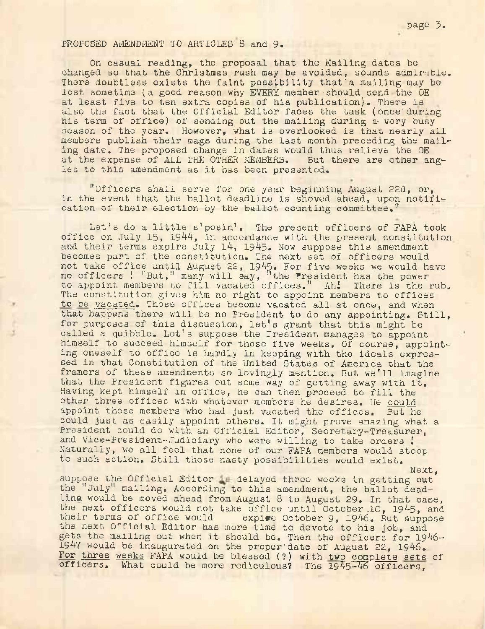## PROPOSED AMENDMENT TO ARTICLES 8 and 9.

On casual reading, the proposal that the Mailing dates be changed so that the Christmas rush may be avoided, sounds admirable. There doubtless exists the faint possibility that'a mailing may be lost sometime (a good reason why EVERY member should send the OE at least five to ten extra copies of his publication).. There is also the fact that the Official Editor faces the task (once'during his term of office) of sending out the mailing during a very busy season of the year. However, what is overlooked is that nearly all members publish their mags during the last month preceding the mailing date. The proposed change in dates would thus relieve the OE at the expense of ALL THE OTHER MEMBERS. But there are other angles to this amendment as it has been presented.

"Officers shall serve for one year beginning August 22d, or, in the event that the ballot deadline is shoved ahead, upon notification of their election by the ballot counting committee."

Let's do a little s'posin'. The present officers of FAPA took office on July 15, 1944, in accordance with the present constitution and their terms expire July 14, 1945. Now suppose this amendment becomes part of the constitution. The next set of officers would not take office until August 22, 1945. For five weeks we would have no officers ! "But," many will say, "the President has the power to appoint members to fill vacated offices." Ahl There is the rub. The constitution gives him no right to appoint members to offices to be vacated. Those offices become vacated all at once, and when that happens there will be no President to do any appointing. Still, for purposes of this discussion, let'<sup>s</sup> grant that this might be called a quibble. Let's suppose the President manages to appoint himself to succeed himself for those five weeks. Of course, appointing oneself to office is hardly in keeping with the ideals expressed in that Constitution of the United States of America that the framers of these amendments so lovingly mention. But we'll imagine that the President figures out some way of getting away with it. Having kept himself in office, he can then proceed to fill the other three offices with whatever members he desires. He could appoint those members who had just vacated the offices. But he could just as easily appoint others. It might prove amazing what a President could do with an Official Editor, Secretary-Treasurer, and Vice-President-Judiciary who were willing to take orders ! Naturally, we all feel that none of our FAPA members would stoop to such action. Still those nasty possibilities would exist.

suppose the Official Editor to delayed three weeks in getting out the "July" mailing. According to this amendment, the ballot deadling would be moved ahead from August 8 to August 29. In that case, the next officers would not take office until October.10, 1945, and their terms of office would expire October 9. 1946. But suppose expire October 9, 1946. But suppose the next Official Editor has more time to devote to his job, and gets the mailing out when it should be. Then the officers for 1946— 1947 would be inaugurated on the proper-date of August 22, 1946.. For three weeks FAPA would be blessed (?) with two complete sets of officers. What could be more rediculous? The 1945-46 officers,

Next,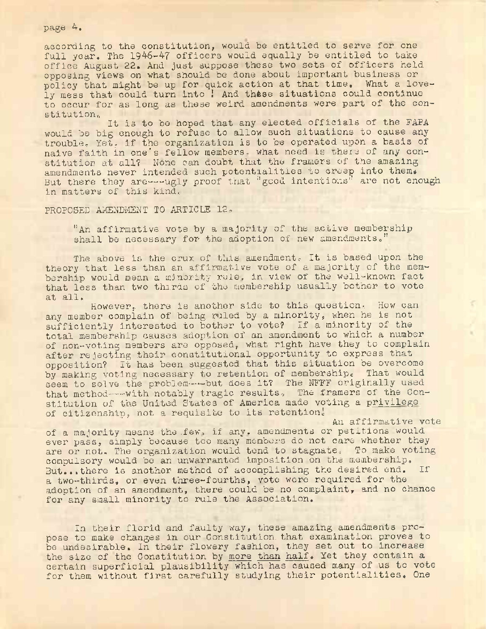## page 4,

according to the constitution, would be entitled to serve for one full year. The 1946-47 officers would equally be entitled to take office August 22. And just suppose these two sets of officers held opposing views on what should be done about important business or policy that might be up for quick action at that time, What a lovely mess that could turn into ! And these situations could continue to occur for as long as these weird amendments were part of the constitutione

It is to be hoped that any elected officials of the FAPA would be big enough to refuse to allow such situations to cause any trouble. Yet. if the organization is to be operated upon a basis of naive faith in one's fellow members, what need is there of any constitution at all? None can doubt that the framers of the amazing amendments never intended such potentialities to creep into them. But there they are ---ugly proof that "good intentions" are not enough in matters of this kind,.

PROPOSED AMENDMENT TO ARTICLE 12.

"An affirmative vote by a majority of the active membership shall be necessary for the adoption of new amendments."

The above is the crux of this amendment. It is based upon the theory that less than an affirmative vote of a majority of the membership would mean a minority rule, in view of the well-known fact that less than two thirds of the membership usually bother to vote at all.

However, there is another side to this question. How can any member complain of being ruled by a minority, when he is not sufficiently interested to bother to vote? If a minority of the total membership causes adoption of an amendment to which a number of non-voting members are opposed, what right have they to complain after rejecting their constitutional opportunity to express that opposition? It has been suggested that this situation be overcome by making voting necessary to retention of membership<sup>c</sup> That would seem to solve the problem-----but does it? The NFFF originally used that method-----with notably tragic results, The framers of the Constitution of the United States of America made voting a privilege of citizenship, not a requisite to its retention.

An affirmative vote

of a majority means the .few, if any. amendments or petitions would ever pass, simply because too many members do not care whether they are or not. The organization would, tend to stagnate. To make voting compulsory would be an unwarranted imposition on the membership. But...there is another method of accomplishing the desired end. If a two-thirds, or even three-fourths, vote were required for the adoption of an amendment, there could be no complaint, and no chance for any small minority to rule the Association.

In their florid and faulty way, these amazing amendments propose to make changes in our Constitution, that examination proves to be undesirable. In their flowery fashion, they set out to increase the size of the Constitution by more than half. Yet they contain a certain superficial plausibility which has caused many of us to vote for them without first carefully studying their potentialities. One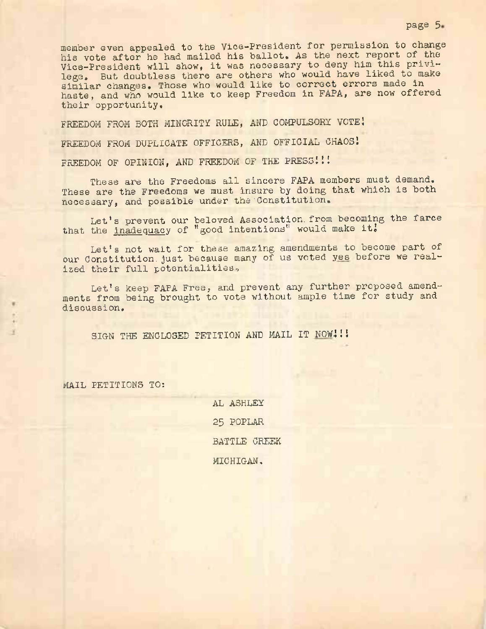member even appealed to the Vice-President for permission to change his vote after he had mailed his ballot. As the next report of the Vice-President will show, it was necessary to deny him this privilege, But doubtless there are others who would have liked to make similar changes. Those who would like to correct errors made in haste, and who would like to keep Freedom in FAPA, are now offered their opportunity.

FREEDOM FROM BOTH MINORITY RULE, AND COMPULSORY VOTE!

FREEDOM FROM DUPLICATE OFFICERS, AND OFFICIAL CHAOS <sup>1</sup>

FREEDOM OF OPINION, AND FREEDOM OF THE PRESS!!!

These are the Freedoms all sincere FAPA members must demand. These are the Freedoms we must insure by doing that which is both necessary, and possible under the'Constitution,

Let'<sup>s</sup> prevent our beloved Association, from becoming the farce that the inadequacy of "good intentions" would make it!

Let'<sup>s</sup> not wait for these amazing amendments to become part of our Constitution, just because many of us voted yes before we realized their full potentialities,

Let's keep FAPA Free, and prevent any further proposed amendments from being brought to vote without ample time for study and discussion.

SIGN THE ENCLOSED PETITION AND MAIL IT NOW!!!

MAIL PETITIONS TO:

AL ASHLEY 25 POPLAR BATTLE CREEK MICHIGAN.